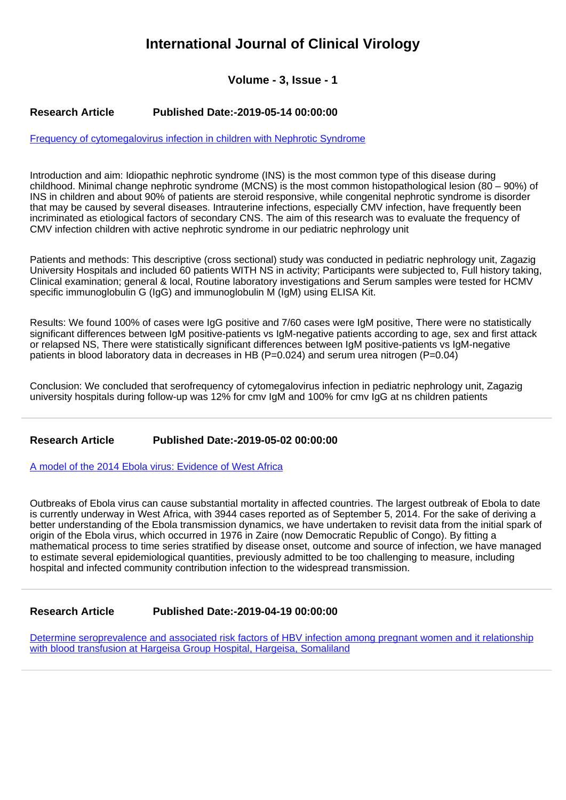## **International Journal of Clinical Virology**

**Volume - 3, Issue - 1**

## **Research Article Published Date:-2019-05-14 00:00:00**

[Frequency of cytomegalovirus infection in children with Nephrotic Syndrome](https://www.clinvirologyjournal.com/articles/ijcv-aid1005.pdf)

Introduction and aim: Idiopathic nephrotic syndrome (INS) is the most common type of this disease during childhood. Minimal change nephrotic syndrome (MCNS) is the most common histopathological lesion (80 – 90%) of INS in children and about 90% of patients are steroid responsive, while congenital nephrotic syndrome is disorder that may be caused by several diseases. Intrauterine infections, especially CMV infection, have frequently been incriminated as etiological factors of secondary CNS. The aim of this research was to evaluate the frequency of CMV infection children with active nephrotic syndrome in our pediatric nephrology unit

Patients and methods: This descriptive (cross sectional) study was conducted in pediatric nephrology unit, Zagazig University Hospitals and included 60 patients WITH NS in activity; Participants were subjected to, Full history taking, Clinical examination; general & local, Routine laboratory investigations and Serum samples were tested for HCMV specific immunoglobulin G (IgG) and immunoglobulin M (IgM) using ELISA Kit.

Results: We found 100% of cases were IgG positive and 7/60 cases were IgM positive, There were no statistically significant differences between IgM positive-patients vs IgM-negative patients according to age, sex and first attack or relapsed NS, There were statistically significant differences between IgM positive-patients vs IgM-negative patients in blood laboratory data in decreases in HB (P=0.024) and serum urea nitrogen (P=0.04)

Conclusion: We concluded that serofrequency of cytomegalovirus infection in pediatric nephrology unit, Zagazig university hospitals during follow-up was 12% for cmv IgM and 100% for cmv IgG at ns children patients

## **Research Article Published Date:-2019-05-02 00:00:00**

[A model of the 2014 Ebola virus: Evidence of West Africa](https://www.clinvirologyjournal.com/articles/ijcv-aid1004.pdf)

Outbreaks of Ebola virus can cause substantial mortality in affected countries. The largest outbreak of Ebola to date is currently underway in West Africa, with 3944 cases reported as of September 5, 2014. For the sake of deriving a better understanding of the Ebola transmission dynamics, we have undertaken to revisit data from the initial spark of origin of the Ebola virus, which occurred in 1976 in Zaire (now Democratic Republic of Congo). By fitting a mathematical process to time series stratified by disease onset, outcome and source of infection, we have managed to estimate several epidemiological quantities, previously admitted to be too challenging to measure, including hospital and infected community contribution infection to the widespread transmission.

## **Research Article Published Date:-2019-04-19 00:00:00**

[Determine seroprevalence and associated risk factors of HBV infection among pregnant women and it relationship](https://www.clinvirologyjournal.com/articles/ijcv-aid1003.pdf) [with blood transfusion at Hargeisa Group Hospital, Hargeisa, Somaliland](https://www.clinvirologyjournal.com/articles/ijcv-aid1003.pdf)